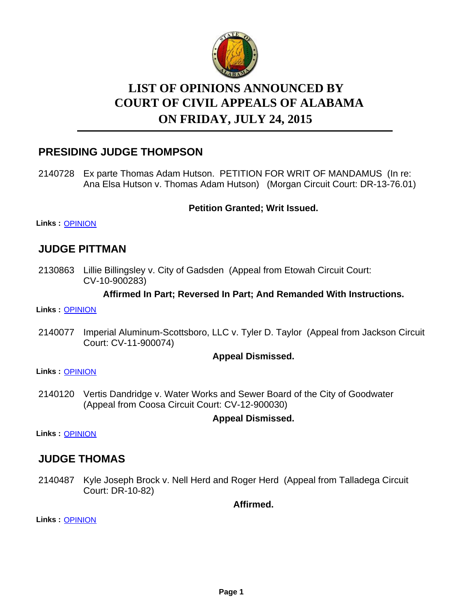

# **LIST OF OPINIONS ANNOUNCED BY ON FRIDAY, JULY 24, 2015 COURT OF CIVIL APPEALS OF ALABAMA**

# **PRESIDING JUDGE THOMPSON**

2140728 Ex parte Thomas Adam Hutson. PETITION FOR WRIT OF MANDAMUS (In re: Ana Elsa Hutson v. Thomas Adam Hutson) (Morgan Circuit Court: DR-13-76.01)

### **Petition Granted; Writ Issued.**

**Links :** [OPINION](https://acis.alabama.gov/displaydocs.cfm?no=672951&event=4EM0KINWQ)

# **JUDGE PITTMAN**

2130863 Lillie Billingsley v. City of Gadsden (Appeal from Etowah Circuit Court: CV-10-900283)

#### **Affirmed In Part; Reversed In Part; And Remanded With Instructions.**

#### **Links :** [OPINION](https://acis.alabama.gov/displaydocs.cfm?no=672942&event=4EM0KIFHU)

Imperial Aluminum-Scottsboro, LLC v. Tyler D. Taylor (Appeal from Jackson Circuit Court: CV-11-900074) 2140077

#### **Appeal Dismissed.**

**Links :** [OPINION](https://acis.alabama.gov/displaydocs.cfm?no=672944&event=4EM0KIJS3)

2140120 Vertis Dandridge v. Water Works and Sewer Board of the City of Goodwater (Appeal from Coosa Circuit Court: CV-12-900030)

### **Appeal Dismissed.**

**Links :** [OPINION](https://acis.alabama.gov/displaydocs.cfm?no=672946&event=4EM0KILRL)

### **JUDGE THOMAS**

2140487 Kyle Joseph Brock v. Nell Herd and Roger Herd (Appeal from Talladega Circuit Court: DR-10-82)

**Affirmed.**

**Links :** [OPINION](https://acis.alabama.gov/displaydocs.cfm?no=672949&event=4EM0KIN08)